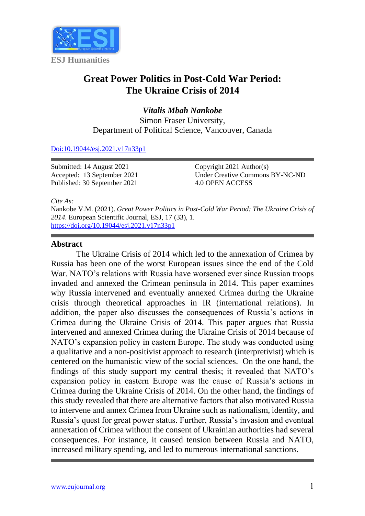

# **Great Power Politics in Post-Cold War Period: The Ukraine Crisis of 2014**

*Vitalis Mbah Nankobe* Simon Fraser University, Department of Political Science, Vancouver, Canada

#### [Doi:10.19044/esj.2021.v17n33p1](https://doi.org/10.19044/esj.2021.v17n33p1)

Submitted: 14 August 2021 Accepted: 13 September 2021 Published: 30 September 2021

Copyright 2021 Author(s) Under Creative Commons BY-NC-ND 4.0 OPEN ACCESS

*Cite As:*

Nankobe V.M. (2021). *Great Power Politics in Post-Cold War Period: The Ukraine Crisis of 2014.* European Scientific Journal, ESJ, 17 (33), 1. <https://doi.org/10.19044/esj.2021.v17n33p1>

#### **Abstract**

The Ukraine Crisis of 2014 which led to the annexation of Crimea by Russia has been one of the worst European issues since the end of the Cold War. NATO's relations with Russia have worsened ever since Russian troops invaded and annexed the Crimean peninsula in 2014. This paper examines why Russia intervened and eventually annexed Crimea during the Ukraine crisis through theoretical approaches in IR (international relations). In addition, the paper also discusses the consequences of Russia's actions in Crimea during the Ukraine Crisis of 2014. This paper argues that Russia intervened and annexed Crimea during the Ukraine Crisis of 2014 because of NATO's expansion policy in eastern Europe. The study was conducted using a qualitative and a non-positivist approach to research (interpretivist) which is centered on the humanistic view of the social sciences. On the one hand, the findings of this study support my central thesis; it revealed that NATO's expansion policy in eastern Europe was the cause of Russia's actions in Crimea during the Ukraine Crisis of 2014. On the other hand, the findings of this study revealed that there are alternative factors that also motivated Russia to intervene and annex Crimea from Ukraine such as nationalism, identity, and Russia's quest for great power status. Further, Russia's invasion and eventual annexation of Crimea without the consent of Ukrainian authorities had several consequences. For instance, it caused tension between Russia and NATO, increased military spending, and led to numerous international sanctions.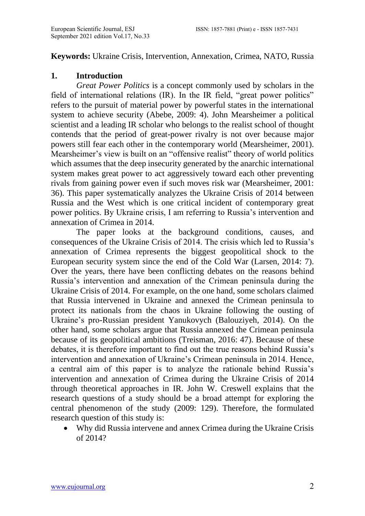### **Keywords:** Ukraine Crisis, Intervention, Annexation, Crimea, NATO, Russia

### **1. Introduction**

*Great Power Politics* is a concept commonly used by scholars in the field of international relations (IR). In the IR field, "great power politics" refers to the pursuit of material power by powerful states in the international system to achieve security (Abebe, 2009: 4). John Mearsheimer a political scientist and a leading IR scholar who belongs to the realist school of thought contends that the period of great-power rivalry is not over because major powers still fear each other in the contemporary world (Mearsheimer, 2001). Mearsheimer's view is built on an "offensive realist" theory of world politics which assumes that the deep insecurity generated by the anarchic international system makes great power to act aggressively toward each other preventing rivals from gaining power even if such moves risk war (Mearsheimer, 2001: 36). This paper systematically analyzes the Ukraine Crisis of 2014 between Russia and the West which is one critical incident of contemporary great power politics. By Ukraine crisis, I am referring to Russia's intervention and annexation of Crimea in 2014.

The paper looks at the background conditions, causes, and consequences of the Ukraine Crisis of 2014. The crisis which led to Russia's annexation of Crimea represents the biggest geopolitical shock to the European security system since the end of the Cold War (Larsen, 2014: 7). Over the years, there have been conflicting debates on the reasons behind Russia's intervention and annexation of the Crimean peninsula during the Ukraine Crisis of 2014. For example, on the one hand, some scholars claimed that Russia intervened in Ukraine and annexed the Crimean peninsula to protect its nationals from the chaos in Ukraine following the ousting of Ukraine's pro-Russian president Yanukovych (Balouziyeh, 2014). On the other hand, some scholars argue that Russia annexed the Crimean peninsula because of its geopolitical ambitions (Treisman, 2016: 47). Because of these debates, it is therefore important to find out the true reasons behind Russia's intervention and annexation of Ukraine's Crimean peninsula in 2014. Hence, a central aim of this paper is to analyze the rationale behind Russia's intervention and annexation of Crimea during the Ukraine Crisis of 2014 through theoretical approaches in IR. John W. Creswell explains that the research questions of a study should be a broad attempt for exploring the central phenomenon of the study (2009: 129). Therefore, the formulated research question of this study is:

• Why did Russia intervene and annex Crimea during the Ukraine Crisis of 2014?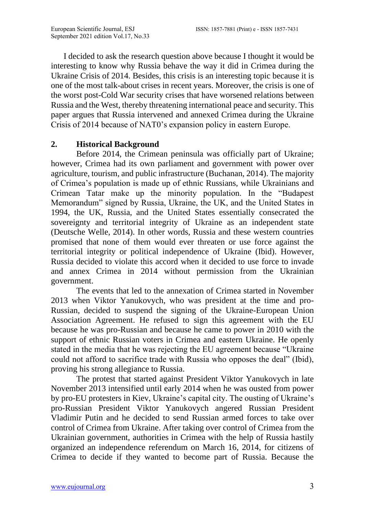I decided to ask the research question above because I thought it would be interesting to know why Russia behave the way it did in Crimea during the Ukraine Crisis of 2014. Besides, this crisis is an interesting topic because it is one of the most talk-about crises in recent years. Moreover, the crisis is one of the worst post-Cold War security crises that have worsened relations between Russia and the West, thereby threatening international peace and security. This paper argues that Russia intervened and annexed Crimea during the Ukraine Crisis of 2014 because of NAT0's expansion policy in eastern Europe.

### **2. Historical Background**

Before 2014, the Crimean peninsula was officially part of Ukraine; however, Crimea had its own parliament and government with power over agriculture, tourism, and public infrastructure (Buchanan, 2014). The majority of Crimea's population is made up of ethnic Russians, while Ukrainians and Crimean Tatar make up the minority population. In the "Budapest Memorandum" signed by Russia, Ukraine, the UK, and the United States in 1994, the UK, Russia, and the United States essentially consecrated the sovereignty and territorial integrity of Ukraine as an independent state (Deutsche Welle, 2014). In other words, Russia and these western countries promised that none of them would ever threaten or use force against the territorial integrity or political independence of Ukraine (Ibid). However, Russia decided to violate this accord when it decided to use force to invade and annex Crimea in 2014 without permission from the Ukrainian government.

The events that led to the annexation of Crimea started in November 2013 when Viktor Yanukovych, who was president at the time and pro-Russian, decided to suspend the signing of the Ukraine-European Union Association Agreement. He refused to sign this agreement with the EU because he was pro-Russian and because he came to power in 2010 with the support of ethnic Russian voters in Crimea and eastern Ukraine. He openly stated in the media that he was rejecting the EU agreement because "Ukraine could not afford to sacrifice trade with Russia who opposes the deal" (Ibid), proving his strong allegiance to Russia.

The protest that started against President Viktor Yanukovych in late November 2013 intensified until early 2014 when he was ousted from power by pro-EU protesters in Kiev, Ukraine's capital city. The ousting of Ukraine's pro-Russian President Viktor Yanukovych angered Russian President Vladimir Putin and he decided to send Russian armed forces to take over control of Crimea from Ukraine. After taking over control of Crimea from the Ukrainian government, authorities in Crimea with the help of Russia hastily organized an independence referendum on March 16, 2014, for citizens of Crimea to decide if they wanted to become part of Russia. Because the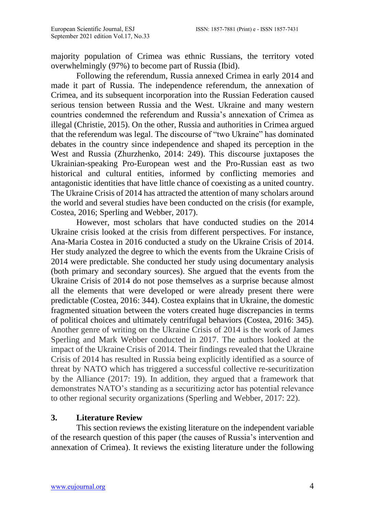majority population of Crimea was ethnic Russians, the territory voted overwhelmingly (97%) to become part of Russia (Ibid).

Following the referendum, Russia annexed Crimea in early 2014 and made it part of Russia. The independence referendum, the annexation of Crimea, and its subsequent incorporation into the Russian Federation caused serious tension between Russia and the West. Ukraine and many western countries condemned the referendum and Russia's annexation of Crimea as illegal (Christie, 2015). On the other, Russia and authorities in Crimea argued that the referendum was legal. The discourse of "two Ukraine" has dominated debates in the country since independence and shaped its perception in the West and Russia (Zhurzhenko, 2014: 249). This discourse juxtaposes the Ukrainian-speaking Pro-European west and the Pro-Russian east as two historical and cultural entities, informed by conflicting memories and antagonistic identities that have little chance of coexisting as a united country. The Ukraine Crisis of 2014 has attracted the attention of many scholars around the world and several studies have been conducted on the crisis (for example, Costea, 2016; Sperling and Webber, 2017).

However, most scholars that have conducted studies on the 2014 Ukraine crisis looked at the crisis from different perspectives. For instance, Ana-Maria Costea in 2016 conducted a study on the Ukraine Crisis of 2014. Her study analyzed the degree to which the events from the Ukraine Crisis of 2014 were predictable. She conducted her study using documentary analysis (both primary and secondary sources). She argued that the events from the Ukraine Crisis of 2014 do not pose themselves as a surprise because almost all the elements that were developed or were already present there were predictable (Costea, 2016: 344). Costea explains that in Ukraine, the domestic fragmented situation between the voters created huge discrepancies in terms of political choices and ultimately centrifugal behaviors (Costea, 2016: 345). Another genre of writing on the Ukraine Crisis of 2014 is the work of James Sperling and Mark Webber conducted in 2017. The authors looked at the impact of the Ukraine Crisis of 2014. Their findings revealed that the Ukraine Crisis of 2014 has resulted in Russia being explicitly identified as a source of threat by NATO which has triggered a successful collective re-securitization by the Alliance (2017: 19). In addition, they argued that a framework that demonstrates NATO's standing as a securitizing actor has potential relevance to other regional security organizations (Sperling and Webber, 2017: 22).

## **3. Literature Review**

This section reviews the existing literature on the independent variable of the research question of this paper (the causes of Russia's intervention and annexation of Crimea). It reviews the existing literature under the following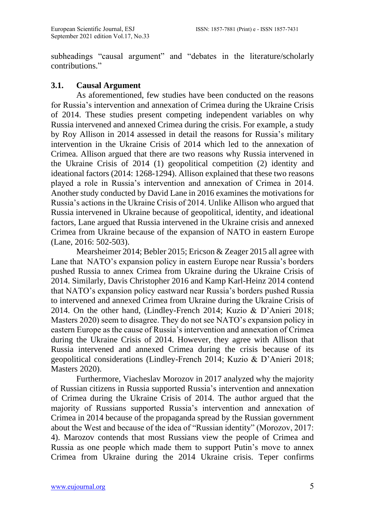subheadings "causal argument" and "debates in the literature/scholarly contributions."

### **3.1. Causal Argument**

As aforementioned, few studies have been conducted on the reasons for Russia's intervention and annexation of Crimea during the Ukraine Crisis of 2014. These studies present competing independent variables on why Russia intervened and annexed Crimea during the crisis. For example, a study by Roy Allison in 2014 assessed in detail the reasons for Russia's military intervention in the Ukraine Crisis of 2014 which led to the annexation of Crimea. Allison argued that there are two reasons why Russia intervened in the Ukraine Crisis of 2014 (1) geopolitical competition (2) identity and ideational factors (2014: 1268-1294). Allison explained that these two reasons played a role in Russia's intervention and annexation of Crimea in 2014. Another study conducted by David Lane in 2016 examines the motivations for Russia's actions in the Ukraine Crisis of 2014. Unlike Allison who argued that Russia intervened in Ukraine because of geopolitical, identity, and ideational factors, Lane argued that Russia intervened in the Ukraine crisis and annexed Crimea from Ukraine because of the expansion of NATO in eastern Europe (Lane, 2016: 502-503).

Mearsheimer 2014; Bebler 2015; Ericson & Zeager 2015 all agree with Lane that NATO's expansion policy in eastern Europe near Russia's borders pushed Russia to annex Crimea from Ukraine during the Ukraine Crisis of 2014. Similarly, Davis Christopher 2016 and Kamp Karl-Heinz 2014 contend that NATO's expansion policy eastward near Russia's borders pushed Russia to intervened and annexed Crimea from Ukraine during the Ukraine Crisis of 2014. On the other hand, (Lindley-French 2014; Kuzio & D'Anieri 2018; Masters 2020) seem to disagree. They do not see NATO's expansion policy in eastern Europe as the cause of Russia's intervention and annexation of Crimea during the Ukraine Crisis of 2014. However, they agree with Allison that Russia intervened and annexed Crimea during the crisis because of its geopolitical considerations (Lindley-French 2014; Kuzio & D'Anieri 2018; Masters 2020).

Furthermore, Viacheslav Morozov in 2017 analyzed why the majority of Russian citizens in Russia supported Russia's intervention and annexation of Crimea during the Ukraine Crisis of 2014. The author argued that the majority of Russians supported Russia's intervention and annexation of Crimea in 2014 because of the propaganda spread by the Russian government about the West and because of the idea of "Russian identity" (Morozov, 2017: 4). Marozov contends that most Russians view the people of Crimea and Russia as one people which made them to support Putin's move to annex Crimea from Ukraine during the 2014 Ukraine crisis. Teper confirms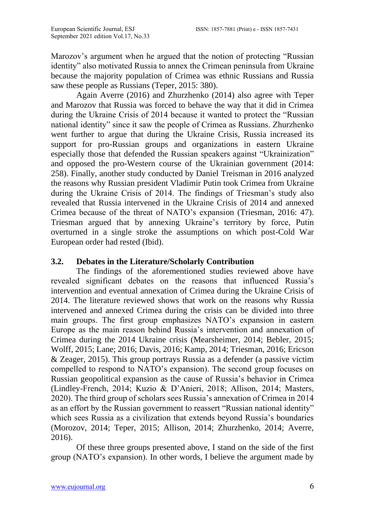Marozov's argument when he argued that the notion of protecting "Russian identity" also motivated Russia to annex the Crimean peninsula from Ukraine because the majority population of Crimea was ethnic Russians and Russia saw these people as Russians (Teper, 2015: 380).

Again Averre (2016) and Zhurzhenko (2014) also agree with Teper and Marozov that Russia was forced to behave the way that it did in Crimea during the Ukraine Crisis of 2014 because it wanted to protect the "Russian national identity" since it saw the people of Crimea as Russians. Zhurzhenko went further to argue that during the Ukraine Crisis, Russia increased its support for pro-Russian groups and organizations in eastern Ukraine especially those that defended the Russian speakers against "Ukrainization" and opposed the pro-Western course of the Ukrainian government (2014: 258). Finally, another study conducted by Daniel Treisman in 2016 analyzed the reasons why Russian president Vladimir Putin took Crimea from Ukraine during the Ukraine Crisis of 2014. The findings of Triesman's study also revealed that Russia intervened in the Ukraine Crisis of 2014 and annexed Crimea because of the threat of NATO's expansion (Triesman, 2016: 47). Triesman argued that by annexing Ukraine's territory by force, Putin overturned in a single stroke the assumptions on which post-Cold War European order had rested (Ibid).

### **3.2. Debates in the Literature/Scholarly Contribution**

The findings of the aforementioned studies reviewed above have revealed significant debates on the reasons that influenced Russia's intervention and eventual annexation of Crimea during the Ukraine Crisis of 2014. The literature reviewed shows that work on the reasons why Russia intervened and annexed Crimea during the crisis can be divided into three main groups. The first group emphasizes NATO's expansion in eastern Europe as the main reason behind Russia's intervention and annexation of Crimea during the 2014 Ukraine crisis (Mearsheimer, 2014; Bebler, 2015; Wolff, 2015; Lane; 2016; Davis, 2016; Kamp, 2014; Triesman, 2016; Ericson & Zeager, 2015). This group portrays Russia as a defender (a passive victim compelled to respond to NATO's expansion). The second group focuses on Russian geopolitical expansion as the cause of Russia's behavior in Crimea (Lindley-French, 2014; Kuzio & D'Anieri, 2018; Allison, 2014; Masters, 2020). The third group of scholars sees Russia's annexation of Crimea in 2014 as an effort by the Russian government to reassert "Russian national identity" which sees Russia as a civilization that extends beyond Russia's boundaries (Morozov, 2014; Teper, 2015; Allison, 2014; Zhurzhenko, 2014; Averre, 2016).

Of these three groups presented above, I stand on the side of the first group (NATO's expansion). In other words, I believe the argument made by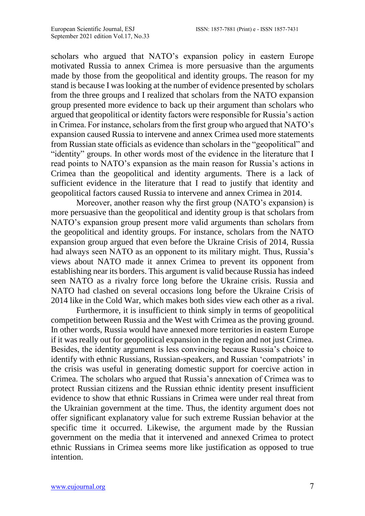scholars who argued that NATO's expansion policy in eastern Europe motivated Russia to annex Crimea is more persuasive than the arguments made by those from the geopolitical and identity groups. The reason for my stand is because I was looking at the number of evidence presented by scholars from the three groups and I realized that scholars from the NATO expansion group presented more evidence to back up their argument than scholars who argued that geopolitical or identity factors were responsible for Russia's action in Crimea. For instance, scholars from the first group who argued that NATO's expansion caused Russia to intervene and annex Crimea used more statements from Russian state officials as evidence than scholars in the "geopolitical" and "identity" groups. In other words most of the evidence in the literature that I read points to NATO's expansion as the main reason for Russia's actions in Crimea than the geopolitical and identity arguments. There is a lack of sufficient evidence in the literature that I read to justify that identity and geopolitical factors caused Russia to intervene and annex Crimea in 2014.

Moreover, another reason why the first group (NATO's expansion) is more persuasive than the geopolitical and identity group is that scholars from NATO's expansion group present more valid arguments than scholars from the geopolitical and identity groups. For instance, scholars from the NATO expansion group argued that even before the Ukraine Crisis of 2014, Russia had always seen NATO as an opponent to its military might. Thus, Russia's views about NATO made it annex Crimea to prevent its opponent from establishing near its borders. This argument is valid because Russia has indeed seen NATO as a rivalry force long before the Ukraine crisis. Russia and NATO had clashed on several occasions long before the Ukraine Crisis of 2014 like in the Cold War, which makes both sides view each other as a rival.

Furthermore, it is insufficient to think simply in terms of geopolitical competition between Russia and the West with Crimea as the proving ground. In other words, Russia would have annexed more territories in eastern Europe if it was really out for geopolitical expansion in the region and not just Crimea. Besides, the identity argument is less convincing because Russia's choice to identify with ethnic Russians, Russian-speakers, and Russian 'compatriots' in the crisis was useful in generating domestic support for coercive action in Crimea. The scholars who argued that Russia's annexation of Crimea was to protect Russian citizens and the Russian ethnic identity present insufficient evidence to show that ethnic Russians in Crimea were under real threat from the Ukrainian government at the time. Thus, the identity argument does not offer significant explanatory value for such extreme Russian behavior at the specific time it occurred. Likewise, the argument made by the Russian government on the media that it intervened and annexed Crimea to protect ethnic Russians in Crimea seems more like justification as opposed to true intention.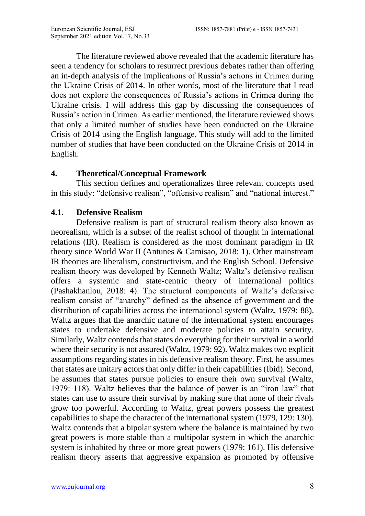The literature reviewed above revealed that the academic literature has seen a tendency for scholars to resurrect previous debates rather than offering an in-depth analysis of the implications of Russia's actions in Crimea during the Ukraine Crisis of 2014. In other words, most of the literature that I read does not explore the consequences of Russia's actions in Crimea during the Ukraine crisis. I will address this gap by discussing the consequences of Russia's action in Crimea. As earlier mentioned, the literature reviewed shows that only a limited number of studies have been conducted on the Ukraine Crisis of 2014 using the English language. This study will add to the limited number of studies that have been conducted on the Ukraine Crisis of 2014 in English.

### **4. Theoretical/Conceptual Framework**

This section defines and operationalizes three relevant concepts used in this study: "defensive realism", "offensive realism" and "national interest."

### **4.1. Defensive Realism**

Defensive realism is part of structural realism theory also known as neorealism, which is a subset of the realist school of thought in international relations (IR). Realism is considered as the most dominant paradigm in IR theory since World War II (Antunes & Camisao, 2018: 1). Other mainstream IR theories are liberalism, constructivism, and the English School. Defensive realism theory was developed by Kenneth Waltz; Waltz's defensive realism offers a systemic and state-centric theory of international politics (Pashakhanlou, 2018: 4). The structural components of Waltz's defensive realism consist of "anarchy" defined as the absence of government and the distribution of capabilities across the international system (Waltz, 1979: 88). Waltz argues that the anarchic nature of the international system encourages states to undertake defensive and moderate policies to attain security. Similarly, Waltz contends that states do everything for their survival in a world where their security is not assured (Waltz, 1979: 92). Waltz makes two explicit assumptions regarding states in his defensive realism theory. First, he assumes that states are unitary actors that only differ in their capabilities (Ibid). Second, he assumes that states pursue policies to ensure their own survival (Waltz, 1979: 118). Waltz believes that the balance of power is an "iron law" that states can use to assure their survival by making sure that none of their rivals grow too powerful. According to Waltz, great powers possess the greatest capabilities to shape the character of the international system (1979, 129: 130). Waltz contends that a bipolar system where the balance is maintained by two great powers is more stable than a multipolar system in which the anarchic system is inhabited by three or more great powers (1979: 161). His defensive realism theory asserts that aggressive expansion as promoted by offensive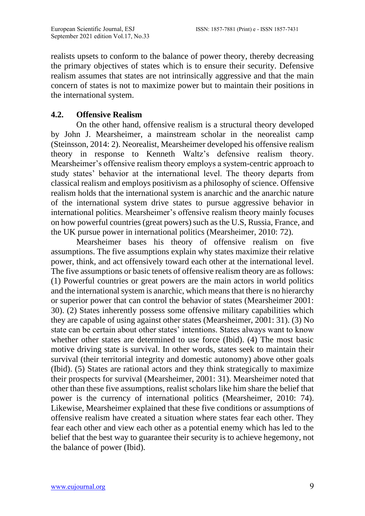realists upsets to conform to the balance of power theory, thereby decreasing the primary objectives of states which is to ensure their security. Defensive realism assumes that states are not intrinsically aggressive and that the main concern of states is not to maximize power but to maintain their positions in the international system.

### **4.2. Offensive Realism**

On the other hand, offensive realism is a structural theory developed by John J. Mearsheimer, a mainstream scholar in the neorealist camp (Steinsson, 2014: 2). Neorealist, Mearsheimer developed his offensive realism theory in response to Kenneth Waltz's defensive realism theory. Mearsheimer's offensive realism theory employs a system-centric approach to study states' behavior at the international level. The theory departs from classical realism and employs positivism as a philosophy of science. Offensive realism holds that the international system is anarchic and the anarchic nature of the international system drive states to pursue aggressive behavior in international politics. Mearsheimer's offensive realism theory mainly focuses on how powerful countries (great powers) such as the U.S, Russia, France, and the UK pursue power in international politics (Mearsheimer, 2010: 72).

Mearsheimer bases his theory of offensive realism on five assumptions. The five assumptions explain why states maximize their relative power, think, and act offensively toward each other at the international level. The five assumptions or basic tenets of offensive realism theory are as follows: (1) Powerful countries or great powers are the main actors in world politics and the international system is anarchic, which means that there is no hierarchy or superior power that can control the behavior of states (Mearsheimer 2001: 30). (2) States inherently possess some offensive military capabilities which they are capable of using against other states (Mearsheimer, 2001: 31). (3) No state can be certain about other states' intentions. States always want to know whether other states are determined to use force (Ibid). (4) The most basic motive driving state is survival. In other words, states seek to maintain their survival (their territorial integrity and domestic autonomy) above other goals (Ibid). (5) States are rational actors and they think strategically to maximize their prospects for survival (Mearsheimer, 2001: 31). Mearsheimer noted that other than these five assumptions, realist scholars like him share the belief that power is the currency of international politics (Mearsheimer, 2010: 74). Likewise, Mearsheimer explained that these five conditions or assumptions of offensive realism have created a situation where states fear each other. They fear each other and view each other as a potential enemy which has led to the belief that the best way to guarantee their security is to achieve hegemony, not the balance of power (Ibid).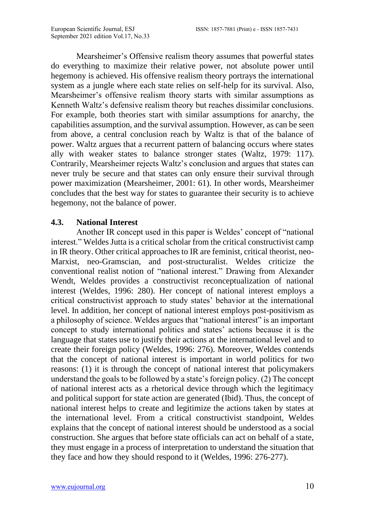Mearsheimer's Offensive realism theory assumes that powerful states do everything to maximize their relative power, not absolute power until hegemony is achieved. His offensive realism theory portrays the international system as a jungle where each state relies on self-help for its survival. Also, Mearsheimer's offensive realism theory starts with similar assumptions as Kenneth Waltz's defensive realism theory but reaches dissimilar conclusions. For example, both theories start with similar assumptions for anarchy, the capabilities assumption, and the survival assumption. However, as can be seen from above, a central conclusion reach by Waltz is that of the balance of power. Waltz argues that a recurrent pattern of balancing occurs where states ally with weaker states to balance stronger states (Waltz, 1979: 117). Contrarily, Mearsheimer rejects Waltz's conclusion and argues that states can never truly be secure and that states can only ensure their survival through power maximization (Mearsheimer, 2001: 61). In other words, Mearsheimer concludes that the best way for states to guarantee their security is to achieve hegemony, not the balance of power.

### **4.3. National Interest**

Another IR concept used in this paper is Weldes' concept of "national interest." Weldes Jutta is a critical scholar from the critical constructivist camp in IR theory. Other critical approaches to IR are feminist, critical theorist, neo-Marxist, neo-Gramscian, and post-structuralist. Weldes criticize the conventional realist notion of "national interest." Drawing from Alexander Wendt, Weldes provides a constructivist reconceptualization of national interest (Weldes, 1996: 280). Her concept of national interest employs a critical constructivist approach to study states' behavior at the international level. In addition, her concept of national interest employs post-positivism as a philosophy of science. Weldes argues that "national interest" is an important concept to study international politics and states' actions because it is the language that states use to justify their actions at the international level and to create their foreign policy (Weldes, 1996: 276). Moreover, Weldes contends that the concept of national interest is important in world politics for two reasons: (1) it is through the concept of national interest that policymakers understand the goals to be followed by a state's foreign policy. (2) The concept of national interest acts as a rhetorical device through which the legitimacy and political support for state action are generated (Ibid). Thus, the concept of national interest helps to create and legitimize the actions taken by states at the international level. From a critical constructivist standpoint, Weldes explains that the concept of national interest should be understood as a social construction. She argues that before state officials can act on behalf of a state, they must engage in a process of interpretation to understand the situation that they face and how they should respond to it (Weldes, 1996: 276-277).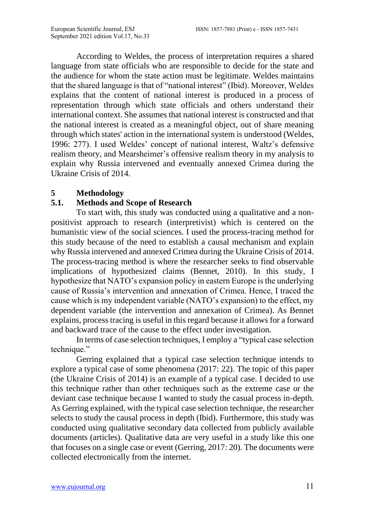According to Weldes, the process of interpretation requires a shared language from state officials who are responsible to decide for the state and the audience for whom the state action must be legitimate. Weldes maintains that the shared language is that of "national interest" (Ibid). Moreover, Weldes explains that the content of national interest is produced in a process of representation through which state officials and others understand their international context. She assumes that national interest is constructed and that the national interest is created as a meaningful object, out of share meaning through which states' action in the international system is understood (Weldes, 1996: 277). I used Weldes' concept of national interest, Waltz's defensive realism theory, and Mearsheimer's offensive realism theory in my analysis to explain why Russia intervened and eventually annexed Crimea during the Ukraine Crisis of 2014.

### **5 Methodology**

## **5.1. Methods and Scope of Research**

To start with, this study was conducted using a qualitative and a nonpositivist approach to research (interpretivist) which is centered on the humanistic view of the social sciences. I used the process-tracing method for this study because of the need to establish a causal mechanism and explain why Russia intervened and annexed Crimea during the Ukraine Crisis of 2014. The process-tracing method is where the researcher seeks to find observable implications of hypothesized claims (Bennet, 2010). In this study, I hypothesize that NATO's expansion policy in eastern Europe is the underlying cause of Russia's intervention and annexation of Crimea. Hence, I traced the cause which is my independent variable (NATO's expansion) to the effect, my dependent variable (the intervention and annexation of Crimea). As Bennet explains, process tracing is useful in this regard because it allows for a forward and backward trace of the cause to the effect under investigation.

In terms of case selection techniques, I employ a "typical case selection technique."

Gerring explained that a typical case selection technique intends to explore a typical case of some phenomena (2017: 22). The topic of this paper (the Ukraine Crisis of 2014) is an example of a typical case. I decided to use this technique rather than other techniques such as the extreme case or the deviant case technique because I wanted to study the casual process in-depth. As Gerring explained, with the typical case selection technique, the researcher selects to study the causal process in depth (Ibid). Furthermore, this study was conducted using qualitative secondary data collected from publicly available documents (articles). Qualitative data are very useful in a study like this one that focuses on a single case or event (Gerring, 2017: 20). The documents were collected electronically from the internet.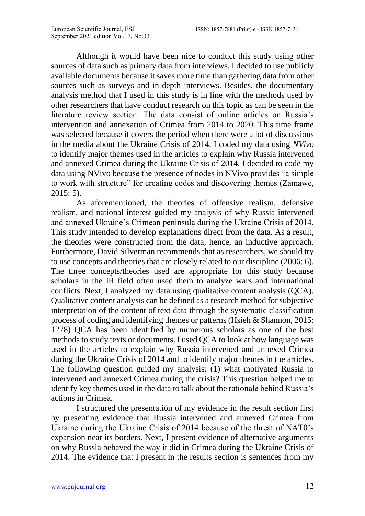Although it would have been nice to conduct this study using other sources of data such as primary data from interviews, I decided to use publicly available documents because it saves more time than gathering data from other sources such as surveys and in-depth interviews. Besides, the documentary analysis method that I used in this study is in line with the methods used by other researchers that have conduct research on this topic as can be seen in the literature review section. The data consist of online articles on Russia's intervention and annexation of Crimea from 2014 to 2020. This time frame was selected because it covers the period when there were a lot of discussions in the media about the Ukraine Crisis of 2014. I coded my data using *NVivo* to identify major themes used in the articles to explain why Russia intervened and annexed Crimea during the Ukraine Crisis of 2014. I decided to code my data using NVivo because the presence of nodes in NVivo provides "a simple to work with structure" for creating codes and discovering themes (Zamawe,  $2015:5$ ).

As aforementioned, the theories of offensive realism, defensive realism, and national interest guided my analysis of why Russia intervened and annexed Ukraine's Crimean peninsula during the Ukraine Crisis of 2014. This study intended to develop explanations direct from the data. As a result, the theories were constructed from the data, hence, an inductive approach. Furthermore, David Silverman recommends that as researchers, we should try to use concepts and theories that are closely related to our discipline (2006: 6). The three concepts/theories used are appropriate for this study because scholars in the IR field often used them to analyze wars and international conflicts. Next, I analyzed my data using qualitative content analysis (QCA). Qualitative content analysis can be defined as a research method for subjective interpretation of the content of text data through the systematic classification process of coding and identifying themes or patterns (Hsieh & Shannon, 2015: 1278) QCA has been identified by numerous scholars as one of the best methods to study texts or documents. I used QCA to look at how language was used in the articles to explain why Russia intervened and annexed Crimea during the Ukraine Crisis of 2014 and to identify major themes in the articles. The following question guided my analysis: (1) what motivated Russia to intervened and annexed Crimea during the crisis? This question helped me to identify key themes used in the data to talk about the rationale behind Russia's actions in Crimea.

I structured the presentation of my evidence in the result section first by presenting evidence that Russia intervened and annexed Crimea from Ukraine during the Ukraine Crisis of 2014 because of the threat of NAT0's expansion near its borders. Next, I present evidence of alternative arguments on why Russia behaved the way it did in Crimea during the Ukraine Crisis of 2014. The evidence that I present in the results section is sentences from my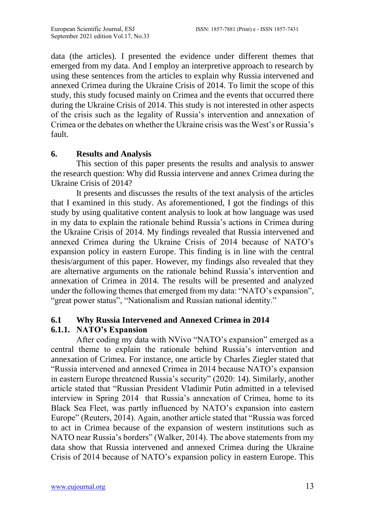data (the articles). I presented the evidence under different themes that emerged from my data. And I employ an interpretive approach to research by using these sentences from the articles to explain why Russia intervened and annexed Crimea during the Ukraine Crisis of 2014. To limit the scope of this study, this study focused mainly on Crimea and the events that occurred there during the Ukraine Crisis of 2014. This study is not interested in other aspects of the crisis such as the legality of Russia's intervention and annexation of Crimea or the debates on whether the Ukraine crisis was the West's or Russia's fault.

### **6. Results and Analysis**

This section of this paper presents the results and analysis to answer the research question: Why did Russia intervene and annex Crimea during the Ukraine Crisis of 2014?

It presents and discusses the results of the text analysis of the articles that I examined in this study. As aforementioned, I got the findings of this study by using qualitative content analysis to look at how language was used in my data to explain the rationale behind Russia's actions in Crimea during the Ukraine Crisis of 2014. My findings revealed that Russia intervened and annexed Crimea during the Ukraine Crisis of 2014 because of NATO's expansion policy in eastern Europe. This finding is in line with the central thesis/argument of this paper. However, my findings also revealed that they are alternative arguments on the rationale behind Russia's intervention and annexation of Crimea in 2014. The results will be presented and analyzed under the following themes that emerged from my data: "NATO's expansion", "great power status", "Nationalism and Russian national identity."

## **6.1 Why Russia Intervened and Annexed Crimea in 2014**

### **6.1.1. NATO's Expansion**

After coding my data with NVivo "NATO's expansion" emerged as a central theme to explain the rationale behind Russia's intervention and annexation of Crimea. For instance, one article by Charles Ziegler stated that "Russia intervened and annexed Crimea in 2014 because NATO's expansion in eastern Europe threatened Russia's security" (2020: 14). Similarly, another article stated that "Russian President Vladimir Putin admitted in a televised interview in Spring 2014 that Russia's annexation of Crimea, home to its Black Sea Fleet, was partly influenced by NATO's expansion into eastern Europe" (Reuters, 2014). Again, another article stated that "Russia was forced to act in Crimea because of the expansion of western institutions such as NATO near Russia's borders" (Walker, 2014). The above statements from my data show that Russia intervened and annexed Crimea during the Ukraine Crisis of 2014 because of NATO's expansion policy in eastern Europe. This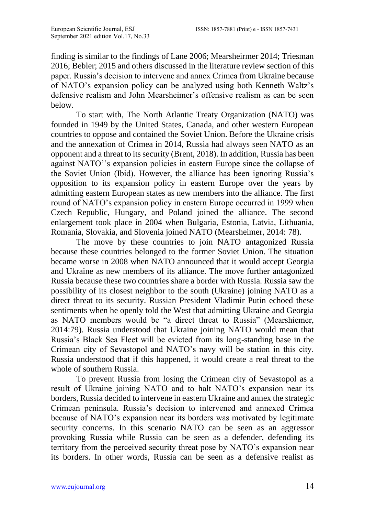finding is similar to the findings of Lane 2006; Mearsheirmer 2014; Triesman 2016; Bebler; 2015 and others discussed in the literature review section of this paper. Russia's decision to intervene and annex Crimea from Ukraine because of NATO's expansion policy can be analyzed using both Kenneth Waltz's defensive realism and John Mearsheimer's offensive realism as can be seen below.

To start with, The North Atlantic Treaty Organization (NATO) was founded in 1949 by the United States, Canada, and other western European countries to oppose and contained the Soviet Union. Before the Ukraine crisis and the annexation of Crimea in 2014, Russia had always seen NATO as an opponent and a threat to its security (Brent, 2018). In addition, Russia has been against NATO''s expansion policies in eastern Europe since the collapse of the Soviet Union (Ibid). However, the alliance has been ignoring Russia's opposition to its expansion policy in eastern Europe over the years by admitting eastern European states as new members into the alliance. The first round of NATO's expansion policy in eastern Europe occurred in 1999 when Czech Republic, Hungary, and Poland joined the alliance. The second enlargement took place in 2004 when Bulgaria, Estonia, Latvia, Lithuania, Romania, Slovakia, and Slovenia joined NATO (Mearsheimer, 2014: 78).

The move by these countries to join NATO antagonized Russia because these countries belonged to the former Soviet Union. The situation became worse in 2008 when NATO announced that it would accept Georgia and Ukraine as new members of its alliance. The move further antagonized Russia because these two countries share a border with Russia. Russia saw the possibility of its closest neighbor to the south (Ukraine) joining NATO as a direct threat to its security. Russian President Vladimir Putin echoed these sentiments when he openly told the West that admitting Ukraine and Georgia as NATO members would be "a direct threat to Russia" (Mearshiemer, 2014:79). Russia understood that Ukraine joining NATO would mean that Russia's Black Sea Fleet will be evicted from its long-standing base in the Crimean city of Sevastopol and NATO's navy will be station in this city. Russia understood that if this happened, it would create a real threat to the whole of southern Russia.

To prevent Russia from losing the Crimean city of Sevastopol as a result of Ukraine joining NATO and to halt NATO's expansion near its borders, Russia decided to intervene in eastern Ukraine and annex the strategic Crimean peninsula. Russia's decision to intervened and annexed Crimea because of NATO's expansion near its borders was motivated by legitimate security concerns. In this scenario NATO can be seen as an aggressor provoking Russia while Russia can be seen as a defender, defending its territory from the perceived security threat pose by NATO's expansion near its borders. In other words, Russia can be seen as a defensive realist as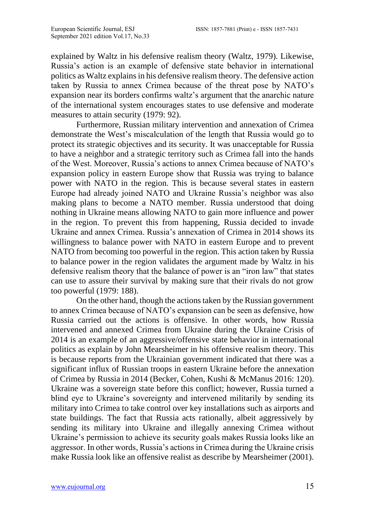explained by Waltz in his defensive realism theory (Waltz, 1979). Likewise, Russia's action is an example of defensive state behavior in international politics as Waltz explains in his defensive realism theory. The defensive action taken by Russia to annex Crimea because of the threat pose by NATO's expansion near its borders confirms waltz's argument that the anarchic nature of the international system encourages states to use defensive and moderate measures to attain security (1979: 92).

Furthermore, Russian military intervention and annexation of Crimea demonstrate the West's miscalculation of the length that Russia would go to protect its strategic objectives and its security. It was unacceptable for Russia to have a neighbor and a strategic territory such as Crimea fall into the hands of the West. Moreover, Russia's actions to annex Crimea because of NATO's expansion policy in eastern Europe show that Russia was trying to balance power with NATO in the region. This is because several states in eastern Europe had already joined NATO and Ukraine Russia's neighbor was also making plans to become a NATO member. Russia understood that doing nothing in Ukraine means allowing NATO to gain more influence and power in the region. To prevent this from happening, Russia decided to invade Ukraine and annex Crimea. Russia's annexation of Crimea in 2014 shows its willingness to balance power with NATO in eastern Europe and to prevent NATO from becoming too powerful in the region. This action taken by Russia to balance power in the region validates the argument made by Waltz in his defensive realism theory that the balance of power is an "iron law" that states can use to assure their survival by making sure that their rivals do not grow too powerful (1979: 188).

On the other hand, though the actions taken by the Russian government to annex Crimea because of NATO's expansion can be seen as defensive, how Russia carried out the actions is offensive. In other words, how Russia intervened and annexed Crimea from Ukraine during the Ukraine Crisis of 2014 is an example of an aggressive/offensive state behavior in international politics as explain by John Mearsheimer in his offensive realism theory. This is because reports from the Ukrainian government indicated that there was a significant influx of Russian troops in eastern Ukraine before the annexation of Crimea by Russia in 2014 (Becker, Cohen, Kushi & McManus 2016: 120). Ukraine was a sovereign state before this conflict; however, Russia turned a blind eye to Ukraine's sovereignty and intervened militarily by sending its military into Crimea to take control over key installations such as airports and state buildings. The fact that Russia acts rationally, albeit aggressively by sending its military into Ukraine and illegally annexing Crimea without Ukraine's permission to achieve its security goals makes Russia looks like an aggressor. In other words, Russia's actions in Crimea during the Ukraine crisis make Russia look like an offensive realist as describe by Mearsheimer (2001).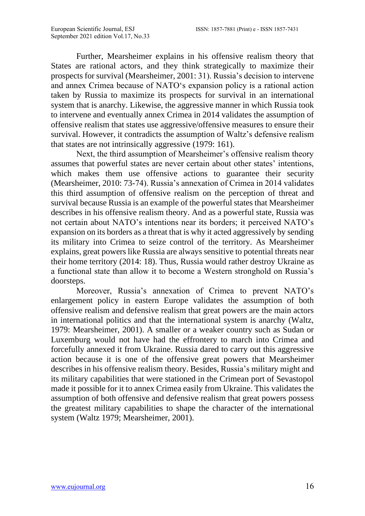Further, Mearsheimer explains in his offensive realism theory that States are rational actors, and they think strategically to maximize their prospects for survival (Mearsheimer, 2001: 31). Russia's decision to intervene and annex Crimea because of NATO's expansion policy is a rational action taken by Russia to maximize its prospects for survival in an international system that is anarchy. Likewise, the aggressive manner in which Russia took to intervene and eventually annex Crimea in 2014 validates the assumption of offensive realism that states use aggressive/offensive measures to ensure their survival. However, it contradicts the assumption of Waltz's defensive realism that states are not intrinsically aggressive (1979: 161).

Next, the third assumption of Mearsheimer's offensive realism theory assumes that powerful states are never certain about other states' intentions, which makes them use offensive actions to guarantee their security (Mearsheimer, 2010: 73-74). Russia's annexation of Crimea in 2014 validates this third assumption of offensive realism on the perception of threat and survival because Russia is an example of the powerful states that Mearsheimer describes in his offensive realism theory. And as a powerful state, Russia was not certain about NATO's intentions near its borders; it perceived NATO's expansion on its borders as a threat that is why it acted aggressively by sending its military into Crimea to seize control of the territory. As Mearsheimer explains, great powers like Russia are always sensitive to potential threats near their home territory (2014: 18). Thus, Russia would rather destroy Ukraine as a functional state than allow it to become a Western stronghold on Russia's doorsteps.

Moreover, Russia's annexation of Crimea to prevent NATO's enlargement policy in eastern Europe validates the assumption of both offensive realism and defensive realism that great powers are the main actors in international politics and that the international system is anarchy (Waltz, 1979: Mearsheimer, 2001). A smaller or a weaker country such as Sudan or Luxemburg would not have had the effrontery to march into Crimea and forcefully annexed it from Ukraine. Russia dared to carry out this aggressive action because it is one of the offensive great powers that Mearsheimer describes in his offensive realism theory. Besides, Russia's military might and its military capabilities that were stationed in the Crimean port of Sevastopol made it possible for it to annex Crimea easily from Ukraine. This validates the assumption of both offensive and defensive realism that great powers possess the greatest military capabilities to shape the character of the international system (Waltz 1979; Mearsheimer, 2001).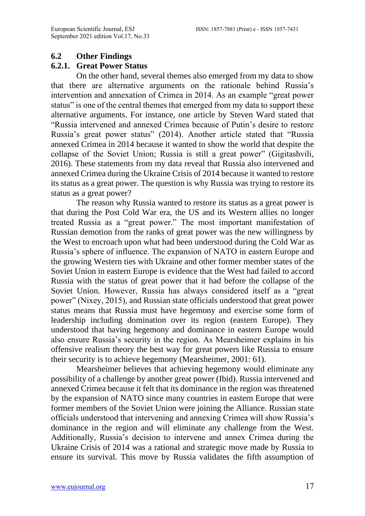### **6.2 Other Findings**

### **6.2.1. Great Power Status**

On the other hand, several themes also emerged from my data to show that there are alternative arguments on the rationale behind Russia's intervention and annexation of Crimea in 2014. As an example "great power status" is one of the central themes that emerged from my data to support these alternative arguments. For instance, one article by Steven Ward stated that "Russia intervened and annexed Crimea because of Putin's desire to restore Russia's great power status" (2014). Another article stated that "Russia annexed Crimea in 2014 because it wanted to show the world that despite the collapse of the Soviet Union; Russia is still a great power" (Gigitashvili, 2016). These statements from my data reveal that Russia also intervened and annexed Crimea during the Ukraine Crisis of 2014 because it wanted to restore its status as a great power. The question is why Russia was trying to restore its status as a great power?

The reason why Russia wanted to restore its status as a great power is that during the Post Cold War era, the US and its Western allies no longer treated Russia as a "great power." The most important manifestation of Russian demotion from the ranks of great power was the new willingness by the West to encroach upon what had been understood during the Cold War as Russia's sphere of influence. The expansion of NATO in eastern Europe and the growing Western ties with Ukraine and other former member states of the Soviet Union in eastern Europe is evidence that the West had failed to accord Russia with the status of great power that it had before the collapse of the Soviet Union. However, Russia has always considered itself as a "great power" (Nixey, 2015), and Russian state officials understood that great power status means that Russia must have hegemony and exercise some form of leadership including domination over its region (eastern Europe). They understood that having hegemony and dominance in eastern Europe would also ensure Russia's security in the region. As Mearsheimer explains in his offensive realism theory the best way for great powers like Russia to ensure their security is to achieve hegemony (Mearsheimer, 2001: 61).

Mearsheimer believes that achieving hegemony would eliminate any possibility of a challenge by another great power (Ibid). Russia intervened and annexed Crimea because it felt that its dominance in the region was threatened by the expansion of NATO since many countries in eastern Europe that were former members of the Soviet Union were joining the Alliance. Russian state officials understood that intervening and annexing Crimea will show Russia's dominance in the region and will eliminate any challenge from the West. Additionally, Russia's decision to intervene and annex Crimea during the Ukraine Crisis of 2014 was a rational and strategic move made by Russia to ensure its survival. This move by Russia validates the fifth assumption of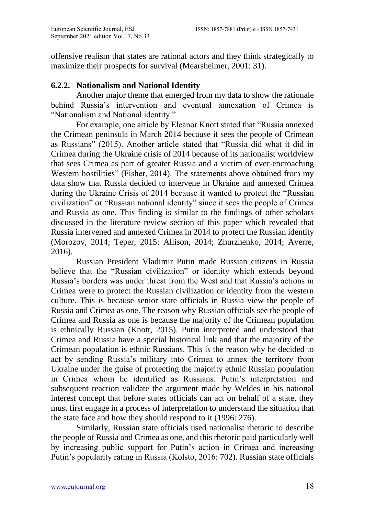offensive realism that states are rational actors and they think strategically to maximize their prospects for survival (Mearsheimer, 2001: 31).

### **6.2.2. Nationalism and National Identity**

Another major theme that emerged from my data to show the rationale behind Russia's intervention and eventual annexation of Crimea is "Nationalism and National identity."

For example, one article by Eleanor Knott stated that "Russia annexed the Crimean peninsula in March 2014 because it sees the people of Crimean as Russians" (2015). Another article stated that "Russia did what it did in Crimea during the Ukraine crisis of 2014 because of its nationalist worldview that sees Crimea as part of greater Russia and a victim of ever-encroaching Western hostilities" (Fisher, 2014). The statements above obtained from my data show that Russia decided to intervene in Ukraine and annexed Crimea during the Ukraine Crisis of 2014 because it wanted to protect the "Russian civilization" or "Russian national identity" since it sees the people of Crimea and Russia as one. This finding is similar to the findings of other scholars discussed in the literature review section of this paper which revealed that Russia intervened and annexed Crimea in 2014 to protect the Russian identity (Morozov, 2014; Teper, 2015; Allison, 2014; Zhurzhenko, 2014; Averre, 2016).

Russian President Vladimir Putin made Russian citizens in Russia believe that the "Russian civilization" or identity which extends beyond Russia's borders was under threat from the West and that Russia's actions in Crimea were to protect the Russian civilization or identity from the western culture. This is because senior state officials in Russia view the people of Russia and Crimea as one. The reason why Russian officials see the people of Crimea and Russia as one is because the majority of the Crimean population is ethnically Russian (Knott, 2015). Putin interpreted and understood that Crimea and Russia have a special historical link and that the majority of the Crimean population is ethnic Russians. This is the reason why he decided to act by sending Russia's military into Crimea to annex the territory from Ukraine under the guise of protecting the majority ethnic Russian population in Crimea whom he identified as Russians. Putin's interpretation and subsequent reaction validate the argument made by Weldes in his national interest concept that before states officials can act on behalf of a state, they must first engage in a process of interpretation to understand the situation that the state face and how they should respond to it (1996: 276).

Similarly, Russian state officials used nationalist rhetoric to describe the people of Russia and Crimea as one, and this rhetoric paid particularly well by increasing public support for Putin's action in Crimea and increasing Putin's popularity rating in Russia (Kolsto, 2016: 702). Russian state officials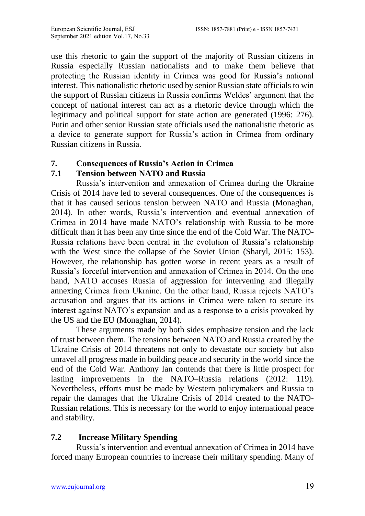use this rhetoric to gain the support of the majority of Russian citizens in Russia especially Russian nationalists and to make them believe that protecting the Russian identity in Crimea was good for Russia's national interest. This nationalistic rhetoric used by senior Russian state officials to win the support of Russian citizens in Russia confirms Weldes' argument that the concept of national interest can act as a rhetoric device through which the legitimacy and political support for state action are generated (1996: 276). Putin and other senior Russian state officials used the nationalistic rhetoric as a device to generate support for Russia's action in Crimea from ordinary Russian citizens in Russia.

### **7. Consequences of Russia's Action in Crimea**

### **7.1 Tension between NATO and Russia**

Russia's intervention and annexation of Crimea during the Ukraine Crisis of 2014 have led to several consequences. One of the consequences is that it has caused serious tension between NATO and Russia (Monaghan, 2014). In other words, Russia's intervention and eventual annexation of Crimea in 2014 have made NATO's relationship with Russia to be more difficult than it has been any time since the end of the Cold War. The NATO-Russia relations have been central in the evolution of Russia's relationship with the West since the collapse of the Soviet Union (Sharyl, 2015: 153). However, the relationship has gotten worse in recent years as a result of Russia's forceful intervention and annexation of Crimea in 2014. On the one hand, NATO accuses Russia of aggression for intervening and illegally annexing Crimea from Ukraine. On the other hand, Russia rejects NATO's accusation and argues that its actions in Crimea were taken to secure its interest against NATO's expansion and as a response to a crisis provoked by the US and the EU (Monaghan, 2014).

These arguments made by both sides emphasize tension and the lack of trust between them. The tensions between NATO and Russia created by the Ukraine Crisis of 2014 threatens not only to devastate our society but also unravel all progress made in building peace and security in the world since the end of the Cold War. Anthony Ian contends that there is little prospect for lasting improvements in the NATO–Russia relations (2012: 119). Nevertheless, efforts must be made by Western policymakers and Russia to repair the damages that the Ukraine Crisis of 2014 created to the NATO-Russian relations. This is necessary for the world to enjoy international peace and stability.

### **7.2 Increase Military Spending**

Russia's intervention and eventual annexation of Crimea in 2014 have forced many European countries to increase their military spending. Many of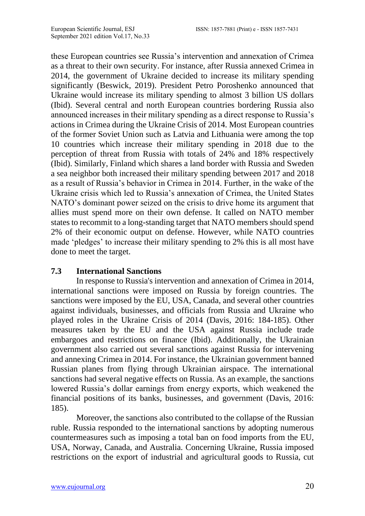these European countries see Russia's intervention and annexation of Crimea as a threat to their own security. For instance, after Russia annexed Crimea in 2014, the government of Ukraine decided to increase its military spending significantly (Beswick, 2019). President Petro Poroshenko announced that Ukraine would increase its military spending to almost 3 billion US dollars (Ibid). Several central and north European countries bordering Russia also announced increases in their military spending as a direct response to Russia's actions in Crimea during the Ukraine Crisis of 2014. Most European countries of the former Soviet Union such as Latvia and Lithuania were among the top 10 countries which increase their military spending in 2018 due to the perception of threat from Russia with totals of 24% and 18% respectively (Ibid). Similarly, Finland which shares a land border with Russia and Sweden a sea neighbor both increased their military spending between 2017 and 2018 as a result of Russia's behavior in Crimea in 2014. Further, in the wake of the Ukraine crisis which led to Russia's annexation of Crimea, the United States NATO's dominant power seized on the crisis to drive home its argument that allies must spend more on their own defense. It called on NATO member states to recommit to a long-standing target that NATO members should spend 2% of their economic output on defense. However, while NATO countries made 'pledges' to increase their military spending to 2% this is all most have done to meet the target.

### **7.3 International Sanctions**

In response to Russia's intervention and annexation of Crimea in 2014, international sanctions were imposed on Russia by foreign countries. The sanctions were imposed by the EU, USA, Canada, and several other countries against individuals, businesses, and officials from Russia and Ukraine who played roles in the Ukraine Crisis of 2014 (Davis, 2016: 184-185). Other measures taken by the EU and the USA against Russia include trade embargoes and restrictions on finance (Ibid). Additionally, the Ukrainian government also carried out several sanctions against Russia for intervening and annexing Crimea in 2014. For instance, the Ukrainian government banned Russian planes from flying through Ukrainian airspace. The international sanctions had several negative effects on Russia. As an example, the sanctions lowered Russia's dollar earnings from energy exports, which weakened the financial positions of its banks, businesses, and government (Davis, 2016: 185).

Moreover, the sanctions also contributed to the collapse of the Russian ruble. Russia responded to the international sanctions by adopting numerous countermeasures such as imposing a total ban on food imports from the EU, USA, Norway, Canada, and Australia. Concerning Ukraine, Russia imposed restrictions on the export of industrial and agricultural goods to Russia, cut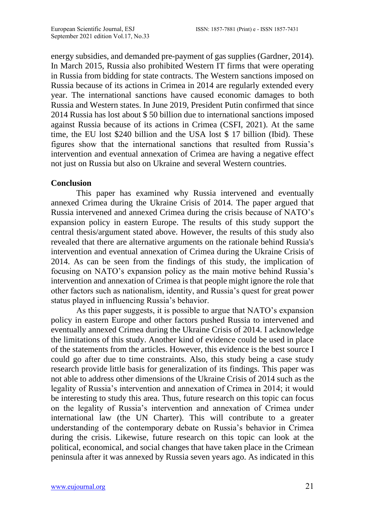energy subsidies, and demanded pre-payment of gas supplies (Gardner, 2014). In March 2015, Russia also prohibited Western IT firms that were operating in Russia from bidding for state contracts. The Western sanctions imposed on Russia because of its actions in Crimea in 2014 are regularly extended every year. The international sanctions have caused economic damages to both Russia and Western states. In June 2019, President Putin confirmed that since 2014 Russia has lost about \$ 50 billion due to international sanctions imposed against Russia because of its actions in Crimea (CSFI, 2021). At the same time, the EU lost \$240 billion and the USA lost \$ 17 billion (Ibid). These figures show that the international sanctions that resulted from Russia's intervention and eventual annexation of Crimea are having a negative effect not just on Russia but also on Ukraine and several Western countries.

#### **Conclusion**

This paper has examined why Russia intervened and eventually annexed Crimea during the Ukraine Crisis of 2014. The paper argued that Russia intervened and annexed Crimea during the crisis because of NATO's expansion policy in eastern Europe. The results of this study support the central thesis/argument stated above. However, the results of this study also revealed that there are alternative arguments on the rationale behind Russia's intervention and eventual annexation of Crimea during the Ukraine Crisis of 2014. As can be seen from the findings of this study, the implication of focusing on NATO's expansion policy as the main motive behind Russia's intervention and annexation of Crimea is that people might ignore the role that other factors such as nationalism, identity, and Russia's quest for great power status played in influencing Russia's behavior.

As this paper suggests, it is possible to argue that NATO's expansion policy in eastern Europe and other factors pushed Russia to intervened and eventually annexed Crimea during the Ukraine Crisis of 2014. I acknowledge the limitations of this study. Another kind of evidence could be used in place of the statements from the articles. However, this evidence is the best source I could go after due to time constraints. Also, this study being a case study research provide little basis for generalization of its findings. This paper was not able to address other dimensions of the Ukraine Crisis of 2014 such as the legality of Russia's intervention and annexation of Crimea in 2014; it would be interesting to study this area. Thus, future research on this topic can focus on the legality of Russia's intervention and annexation of Crimea under international law (the UN Charter). This will contribute to a greater understanding of the contemporary debate on Russia's behavior in Crimea during the crisis. Likewise, future research on this topic can look at the political, economical, and social changes that have taken place in the Crimean peninsula after it was annexed by Russia seven years ago. As indicated in this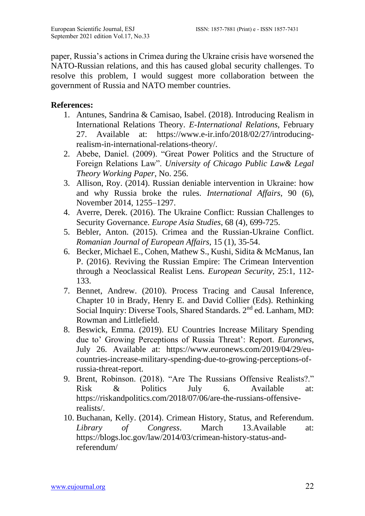paper, Russia's actions in Crimea during the Ukraine crisis have worsened the NATO-Russian relations, and this has caused global security challenges. To resolve this problem, I would suggest more collaboration between the government of Russia and NATO member countries.

### **References:**

- 1. Antunes, Sandrina & Camisao, Isabel. (2018). Introducing Realism in International Relations Theory. *E-International Relations,* February 27. Available at: [https://www.e-ir.info/2018/02/27/introducing](https://www.e-ir.info/2018/02/27/introducing-realism-in-international-relations-theory/)[realism-in-international-relations-theory/.](https://www.e-ir.info/2018/02/27/introducing-realism-in-international-relations-theory/)
- 2. Abebe, Daniel. (2009). "Great Power Politics and the Structure of Foreign Relations Law". *University of Chicago Public Law& Legal Theory Working Paper*, No. 256.
- 3. Allison, Roy. (2014). Russian deniable intervention in Ukraine: how and why Russia broke the rules. *International Affairs*, 90 (6), November 2014, 1255–1297.
- 4. Averre, Derek. (2016). The Ukraine Conflict: Russian Challenges to Security Governance. *Europe Asia Studies*, 68 (4), 699-725.
- 5. Bebler, Anton. (2015). Crimea and the Russian-Ukraine Conflict. *Romanian Journal of European Affairs*, 15 (1), 35-54.
- 6. Becker, Michael E., Cohen, Mathew S., Kushi, Sidita & McManus, Ian P. (2016). Reviving the Russian Empire: The Crimean Intervention through a Neoclassical Realist Lens. *European Security*, 25:1, 112- 133.
- 7. Bennet, Andrew. (2010). Process Tracing and Causal Inference, Chapter 10 in Brady, Henry E. and David Collier (Eds). Rethinking Social Inquiry: Diverse Tools, Shared Standards. 2<sup>nd</sup> ed. Lanham, MD: Rowman and Littlefield.
- 8. Beswick, Emma. (2019). EU Countries Increase Military Spending due to' Growing Perceptions of Russia Threat': Report. *Euronews*, July 26. Available at: [https://www.euronews.com/2019/04/29/eu](https://www.euronews.com/2019/04/29/eu-countries-increase-military-spending-due-to-growing-perceptions-of-russia-threat-report)[countries-increase-military-spending-due-to-growing-perceptions-of](https://www.euronews.com/2019/04/29/eu-countries-increase-military-spending-due-to-growing-perceptions-of-russia-threat-report)[russia-threat-report.](https://www.euronews.com/2019/04/29/eu-countries-increase-military-spending-due-to-growing-perceptions-of-russia-threat-report)
- 9. Brent, Robinson. (2018). "Are The Russians Offensive Realists?." Risk & Politics July 6. Available at: [https://riskandpolitics.com/2018/07/06/are-the-russians-offensive](https://riskandpolitics.com/2018/07/06/are-the-russians-offensive-realists/)[realists/.](https://riskandpolitics.com/2018/07/06/are-the-russians-offensive-realists/)
- 10. Buchanan, Kelly. (2014). Crimean History, Status, and Referendum. *Library of Congress*. March 13.Available at: [https://blogs.loc.gov/law/2014/03/crimean-history-status-and](https://blogs.loc.gov/law/2014/03/crimean-history-status-and-referendum/)[referendum/](https://blogs.loc.gov/law/2014/03/crimean-history-status-and-referendum/)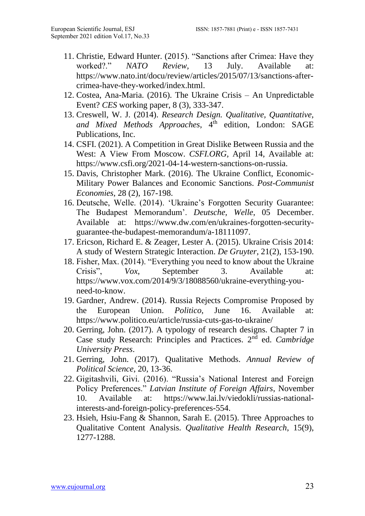- 11. Christie, Edward Hunter. (2015). "Sanctions after Crimea: Have they worked?." *NATO Review,* 13 July. Available at: [https://www.nato.int/docu/review/articles/2015/07/13/sanctions-after](https://www.nato.int/docu/review/articles/2015/07/13/sanctions-after-crimea-have-they-worked/index.html)[crimea-have-they-worked/index.html.](https://www.nato.int/docu/review/articles/2015/07/13/sanctions-after-crimea-have-they-worked/index.html)
- 12. Costea, Ana-Maria. (2016). The Ukraine Crisis An Unpredictable Event? *CES* working paper, 8 (3), 333-347.
- 13. Creswell, W. J. (2014). *Research Design. Qualitative, Quantitative,*  and Mixed Methods Approaches, 4<sup>th</sup> edition, London: SAGE Publications, Inc.
- 14. CSFI. (2021). A Competition in Great Dislike Between Russia and the West: A View From Moscow. *CSFI.ORG,* April 14, Available at: [https://www.csfi.org/2021-04-14-western-sanctions-on-russia.](https://www.csfi.org/2021-04-14-western-sanctions-on-russia)
- 15. Davis, Christopher Mark. (2016). The Ukraine Conflict, Economic-Military Power Balances and Economic Sanctions. *Post-Communist Economies*, 28 (2), 167-198.
- 16. Deutsche, Welle. (2014). 'Ukraine's Forgotten Security Guarantee: The Budapest Memorandum'. *Deutsche, Welle*, 05 December. Available at: [https://www.dw.com/en/ukraines-forgotten-security](https://www.dw.com/en/ukraines-forgotten-security-guarantee-the-budapest-memorandum/a-18111097)[guarantee-the-budapest-memorandum/a-18111097.](https://www.dw.com/en/ukraines-forgotten-security-guarantee-the-budapest-memorandum/a-18111097)
- 17. Ericson, Richard E. & Zeager, Lester A. (2015). Ukraine Crisis 2014: A study of Western Strategic Interaction. *De Gruyter*, 21(2), 153-190.
- 18. Fisher, Max. (2014). "Everything you need to know about the Ukraine Crisis", *Vox*, September 3. Available at: [https://www.vox.com/2014/9/3/18088560/ukraine-everything-you](https://www.vox.com/2014/9/3/18088560/ukraine-everything-you-need-to-know)[need-to-know.](https://www.vox.com/2014/9/3/18088560/ukraine-everything-you-need-to-know)
- 19. Gardner, Andrew. (2014). Russia Rejects Compromise Proposed by the European Union. *Politico*, June 16. Available at: <https://www.politico.eu/article/russia-cuts-gas-to-ukraine/>
- 20. Gerring, John. (2017). A typology of research designs. Chapter 7 in Case study Research: Principles and Practices. 2nd ed. *Cambridge University Press*.
- 21. Gerring, John. (2017). Qualitative Methods. *Annual Review of Political Science*, 20, 13-36.
- 22. Gigitashvili, Givi. (2016). "Russia's National Interest and Foreign Policy Preferences." *Latvian Institute of Foreign Affairs*, November 10. Available at: [https://www.lai.lv/viedokli/russias-national](https://www.lai.lv/viedokli/russias-national-interests-and-foreign-policy-preferences-554)[interests-and-foreign-policy-preferences-554.](https://www.lai.lv/viedokli/russias-national-interests-and-foreign-policy-preferences-554)
- 23. Hsieh, Hsiu-Fang & Shannon, Sarah E. (2015). Three Approaches to Qualitative Content Analysis. *Qualitative Health Research*, 15(9), 1277-1288.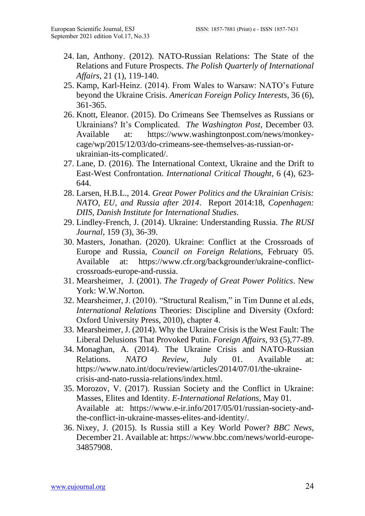- 24. Ian, Anthony. (2012). NATO-Russian Relations: The State of the Relations and Future Prospects. *The Polish Quarterly of International Affairs*, 21 (1), 119-140.
- 25. Kamp, Karl-Heinz. (2014). From Wales to Warsaw: NATO's Future beyond the Ukraine Crisis. *American Foreign Policy Interests,* 36 (6), 361-365.
- 26. Knott, Eleanor. (2015). Do Crimeans See Themselves as Russians or Ukrainians? It's Complicated. *The Washington Post*, December 03. Available at: [https://www.washingtonpost.com/news/monkey](https://www.washingtonpost.com/news/monkey-cage/wp/2015/12/03/do-crimeans-see-themselves-as-russian-or-ukrainian-its-complicated/)[cage/wp/2015/12/03/do-crimeans-see-themselves-as-russian-or](https://www.washingtonpost.com/news/monkey-cage/wp/2015/12/03/do-crimeans-see-themselves-as-russian-or-ukrainian-its-complicated/)[ukrainian-its-complicated/.](https://www.washingtonpost.com/news/monkey-cage/wp/2015/12/03/do-crimeans-see-themselves-as-russian-or-ukrainian-its-complicated/)
- 27. Lane, D. (2016). The International Context, Ukraine and the Drift to East-West Confrontation. *International Critical Thought*, 6 (4), 623- 644.
- 28. Larsen, H.B.L., 2014. *Great Power Politics and the Ukrainian Crisis: NATO, EU, and Russia after 2014*. Report 2014:18, *Copenhagen: DIIS, Danish Institute for International Studies*.
- 29. Lindley-French, J. (2014). Ukraine: Understanding Russia. *The RUSI Journal*, 159 (3), 36-39.
- 30. Masters, Jonathan. (2020). Ukraine: Conflict at the Crossroads of Europe and Russia, *Council on Foreign Relations,* February 05. Available at: [https://www.cfr.org/backgrounder/ukraine-conflict](https://www.cfr.org/backgrounder/ukraine-conflict-crossroads-europe-and-russia)[crossroads-europe-and-russia.](https://www.cfr.org/backgrounder/ukraine-conflict-crossroads-europe-and-russia)
- 31. Mearsheimer, J. (2001). *The Tragedy of Great Power Politics*. New York: W.W.Norton.
- 32. Mearsheimer, J. (2010). "Structural Realism," in Tim Dunne et al.eds, *International Relations* Theories: Discipline and Diversity (Oxford: Oxford University Press, 2010), chapter 4.
- 33. Mearsheimer, J. (2014). Why the Ukraine Crisis is the West Fault: The Liberal Delusions That Provoked Putin. *Foreign Affairs,* 93 (5),77-89.
- 34. Monaghan, A. (2014). The Ukraine Crisis and NATO-Russian Relations. *NATO Review,* July 01. Available at: [https://www.nato.int/docu/review/articles/2014/07/01/the-ukraine](https://www.nato.int/docu/review/articles/2014/07/01/the-ukraine-crisis-and-nato-russia-relations/index.html)[crisis-and-nato-russia-relations/index.html.](https://www.nato.int/docu/review/articles/2014/07/01/the-ukraine-crisis-and-nato-russia-relations/index.html)
- 35. Morozov, V. (2017). Russian Society and the Conflict in Ukraine: Masses, Elites and Identity. *E-International Relations,* May 01. Available at: [https://www.e-ir.info/2017/05/01/russian-society-and](https://www.e-ir.info/2017/05/01/russian-society-and-the-conflict-in-ukraine-masses-elites-and-identity/)[the-conflict-in-ukraine-masses-elites-and-identity/.](https://www.e-ir.info/2017/05/01/russian-society-and-the-conflict-in-ukraine-masses-elites-and-identity/)
- 36. Nixey, J. (2015). Is Russia still a Key World Power? *BBC News,* December 21. Available at[: https://www.bbc.com/news/world-europe-](https://www.bbc.com/news/world-europe-34857908)[34857908.](https://www.bbc.com/news/world-europe-34857908)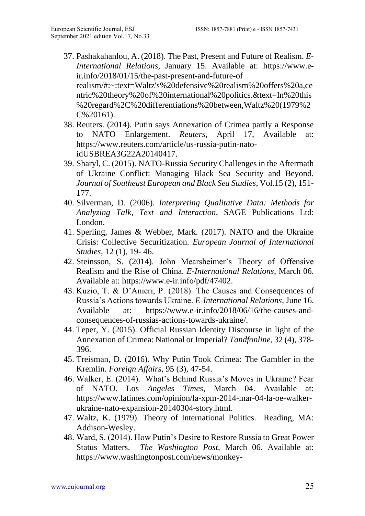- 37. Pashakahanlou, A. (2018). The Past, Present and Future of Realism. *E-International Relations,* January 15. Available at: [https://www.e](https://www.e-ir.info/2018/01/15/the-past-present-and-future-of%20realism/#:~:text=Waltz)[ir.info/2018/01/15/the-past-present-and-future-of](https://www.e-ir.info/2018/01/15/the-past-present-and-future-of%20realism/#:~:text=Waltz)  [realism/#:~:text=Waltz's%20defensive%20realism%20offers%20a,ce](https://www.e-ir.info/2018/01/15/the-past-present-and-future-of%20realism/#:~:text=Waltz) [ntric%20theory%20of%20international%20politics.&text=In%20this](https://www.e-ir.info/2018/01/15/the-past-present-and-future-of%20realism/#:~:text=Waltz) [%20regard%2C%20differentiations%20between,Waltz%20\(1979%2](https://www.e-ir.info/2018/01/15/the-past-present-and-future-of%20realism/#:~:text=Waltz) [C%20161\).](https://www.e-ir.info/2018/01/15/the-past-present-and-future-of%20realism/#:~:text=Waltz)
- 38. Reuters. (2014). Putin says Annexation of Crimea partly a Response to NATO Enlargement. *Reuters*, April 17, Available at: [https://www.reuters.com/article/us-russia-putin-nato](https://www.reuters.com/article/us-russia-putin-nato-idUSBREA3G22A20140417)[idUSBREA3G22A20140417.](https://www.reuters.com/article/us-russia-putin-nato-idUSBREA3G22A20140417)
- 39. Sharyl, C. (2015). NATO-Russia Security Challenges in the Aftermath of Ukraine Conflict: Managing Black Sea Security and Beyond. *Journal of Southeast European and Black Sea Studies*, Vol.15 (2), 151- 177.
- 40. Silverman, D. (2006). *Interpreting Qualitative Data: Methods for Analyzing Talk, Text and Interaction*, SAGE Publications Ltd: London.
- 41. Sperling, James & Webber, Mark. (2017). NATO and the Ukraine Crisis: Collective Securitization. *European Journal of International Studies*, 12 (1), 19- 46.
- 42. Steinsson, S. (2014). John Mearsheimer's Theory of Offensive Realism and the Rise of China. *E-International Relations*, March 06. Available at: [https://www.e-ir.info/pdf/47402.](https://www.e-ir.info/pdf/47402)
- 43. Kuzio, T. & D'Anieri, P. (2018). The Causes and Consequences of Russia's Actions towards Ukraine. *E-International Relations,* June 16. Available at: [https://www.e-ir.info/2018/06/16/the-causes-and](https://www.e-ir.info/2018/06/16/the-causes-and-consequences-of-russias-actions-towards-ukraine/)[consequences-of-russias-actions-towards-ukraine/.](https://www.e-ir.info/2018/06/16/the-causes-and-consequences-of-russias-actions-towards-ukraine/)
- 44. Teper, Y. (2015). Official Russian Identity Discourse in light of the Annexation of Crimea: National or Imperial? *Tandfonline,* 32 (4), 378- 396.
- 45. Treisman, D. (2016). Why Putin Took Crimea: The Gambler in the Kremlin. *Foreign Affairs,* 95 (3), 47-54.
- 46. Walker, E. (2014). What's Behind Russia's Moves in Ukraine? Fear of NATO. Los *Angeles Times*, March 04. Available at: [https://www.latimes.com/opinion/la-xpm-2014-mar-04-la-oe-walker](https://www.latimes.com/opinion/la-xpm-2014-mar-04-la-oe-walker-ukraine-nato-expansion-20140304-story.html)[ukraine-nato-expansion-20140304-story.html.](https://www.latimes.com/opinion/la-xpm-2014-mar-04-la-oe-walker-ukraine-nato-expansion-20140304-story.html)
- 47. Waltz, K. (1979). Theory of International Politics. Reading, MA: Addison-Wesley.
- 48. Ward, S. (2014). How Putin's Desire to Restore Russia to Great Power Status Matters. *The Washington Post,* March 06. Available at: [https://www.washingtonpost.com/news/monkey-](https://www.washingtonpost.com/news/monkey-cage/wp/2014/03/06/how-putins-desire-to-restore-russia-to-great-power-status-matters/)